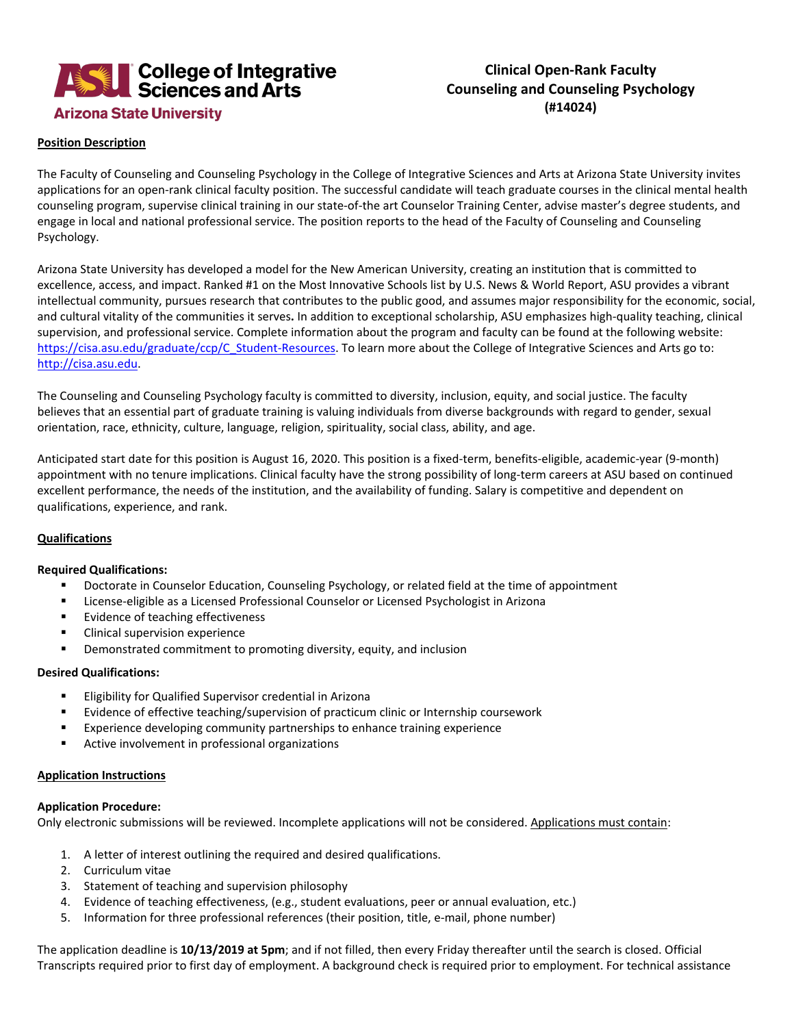

# **Clinical Open-Rank Faculty Counseling and Counseling Psychology (#14024)**

## **Position Description**

The Faculty of Counseling and Counseling Psychology in the College of Integrative Sciences and Arts at Arizona State University invites applications for an open-rank clinical faculty position. The successful candidate will teach graduate courses in the clinical mental health counseling program, supervise clinical training in our state-of-the art Counselor Training Center, advise master's degree students, and engage in local and national professional service. The position reports to the head of the Faculty of Counseling and Counseling Psychology.

Arizona State University has developed a model for the New American University, creating an institution that is committed to excellence, access, and impact. Ranked #1 on the Most Innovative Schools list by U.S. News & World Report, ASU provides a vibrant intellectual community, pursues research that contributes to the public good, and assumes major responsibility for the economic, social, and cultural vitality of the communities it serves**.** In addition to exceptional scholarship, ASU emphasizes high-quality teaching, clinical supervision, and professional service. Complete information about the program and faculty can be found at the following website: [https://cisa.asu.edu/graduate/ccp/C\\_Student-Resources.](https://cisa.asu.edu/graduate/ccp/C_Student-Resources) To learn more about the College of Integrative Sciences and Arts go to: [http://cisa.asu.edu.](http://cisa.asu.edu/)

The Counseling and Counseling Psychology faculty is committed to diversity, inclusion, equity, and social justice. The faculty believes that an essential part of graduate training is valuing individuals from diverse backgrounds with regard to gender, sexual orientation, race, ethnicity, culture, language, religion, spirituality, social class, ability, and age.

Anticipated start date for this position is August 16, 2020. This position is a fixed-term, benefits-eligible, academic-year (9-month) appointment with no tenure implications. Clinical faculty have the strong possibility of long-term careers at ASU based on continued excellent performance, the needs of the institution, and the availability of funding. Salary is competitive and dependent on qualifications, experience, and rank.

### **Qualifications**

### **Required Qualifications:**

- **Doctorate in Counselor Education, Counseling Psychology, or related field at the time of appointment**
- License-eligible as a Licensed Professional Counselor or Licensed Psychologist in Arizona
- **Evidence of teaching effectiveness**
- **EXECL** Clinical supervision experience
- **•** Demonstrated commitment to promoting diversity, equity, and inclusion

### **Desired Qualifications:**

- **Eligibility for Qualified Supervisor credential in Arizona**
- Evidence of effective teaching/supervision of practicum clinic or Internship coursework
- **Experience developing community partnerships to enhance training experience**
- Active involvement in professional organizations

### **Application Instructions**

### **Application Procedure:**

Only electronic submissions will be reviewed. Incomplete applications will not be considered. Applications must contain:

- 1. A letter of interest outlining the required and desired qualifications.
- 2. Curriculum vitae
- 3. Statement of teaching and supervision philosophy
- 4. Evidence of teaching effectiveness, (e.g., student evaluations, peer or annual evaluation, etc.)
- 5. Information for three professional references (their position, title, e-mail, phone number)

The application deadline is **10/13/2019 at 5pm**; and if not filled, then every Friday thereafter until the search is closed. Official Transcripts required prior to first day of employment. A background check is required prior to employment. For technical assistance